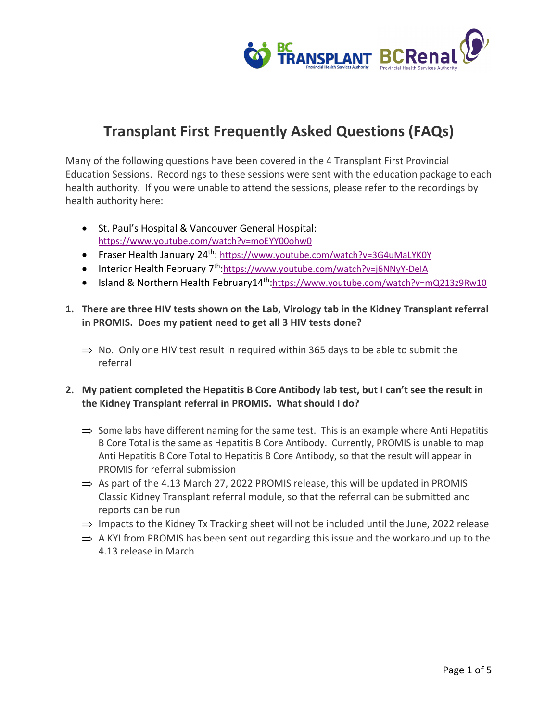

Many of the following questions have been covered in the 4 Transplant First Provincial Education Sessions. Recordings to these sessions were sent with the education package to each health authority. If you were unable to attend the sessions, please refer to the recordings by health authority here:

- St. Paul's Hospital & Vancouver General Hospital: https://www.youtube.com/watch?v=moEYY00ohw0
- Fraser Health January 24<sup>th</sup>: https://www.youtube.com/watch?v=3G4uMaLYK0Y
- Interior Health February 7<sup>th</sup>:https://www.youtube.com/watch?v=j6NNyY-DeIA
- Island & Northern Health February14<sup>th</sup>:https://www.youtube.com/watch?v=mQ213z9Rw10
- **1. There are three HIV tests shown on the Lab, Virology tab in the Kidney Transplant referral in PROMIS. Does my patient need to get all 3 HIV tests done?**
	- $\Rightarrow$  No. Only one HIV test result in required within 365 days to be able to submit the referral

## **2. My patient completed the Hepatitis B Core Antibody lab test, but I can't see the result in the Kidney Transplant referral in PROMIS. What should I do?**

- $\Rightarrow$  Some labs have different naming for the same test. This is an example where Anti Hepatitis B Core Total is the same as Hepatitis B Core Antibody. Currently, PROMIS is unable to map Anti Hepatitis B Core Total to Hepatitis B Core Antibody, so that the result will appear in PROMIS for referral submission
- $\Rightarrow$  As part of the 4.13 March 27, 2022 PROMIS release, this will be updated in PROMIS Classic Kidney Transplant referral module, so that the referral can be submitted and reports can be run
- $\Rightarrow$  Impacts to the Kidney Tx Tracking sheet will not be included until the June, 2022 release
- $\Rightarrow$  A KYI from PROMIS has been sent out regarding this issue and the workaround up to the 4.13 release in March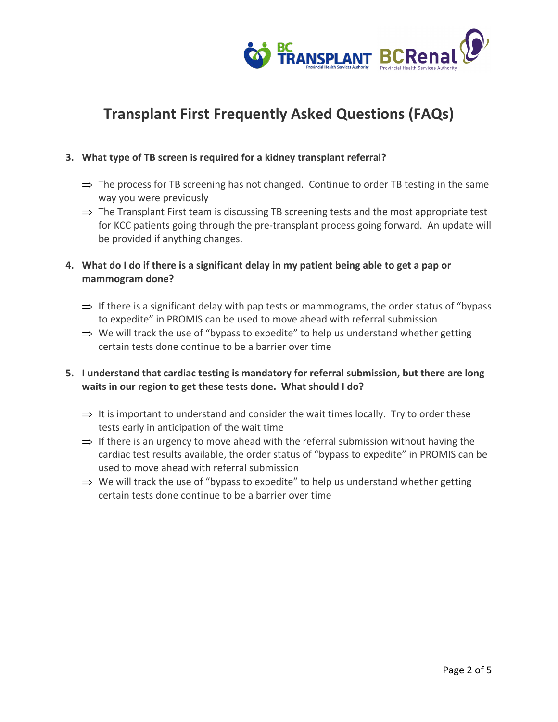

### **3. What type of TB screen is required for a kidney transplant referral?**

- $\Rightarrow$  The process for TB screening has not changed. Continue to order TB testing in the same way you were previously
- $\Rightarrow$  The Transplant First team is discussing TB screening tests and the most appropriate test for KCC patients going through the pre-transplant process going forward. An update will be provided if anything changes.

## **4. What do I do if there is a significant delay in my patient being able to get a pap or mammogram done?**

- $\Rightarrow$  If there is a significant delay with pap tests or mammograms, the order status of "bypass" to expedite" in PROMIS can be used to move ahead with referral submission
- $\Rightarrow$  We will track the use of "bypass to expedite" to help us understand whether getting certain tests done continue to be a barrier over time

## **5. I understand that cardiac testing is mandatory for referral submission, but there are long waits in our region to get these tests done. What should I do?**

- $\Rightarrow$  It is important to understand and consider the wait times locally. Try to order these tests early in anticipation of the wait time
- $\Rightarrow$  If there is an urgency to move ahead with the referral submission without having the cardiac test results available, the order status of "bypass to expedite" in PROMIS can be used to move ahead with referral submission
- $\Rightarrow$  We will track the use of "bypass to expedite" to help us understand whether getting certain tests done continue to be a barrier over time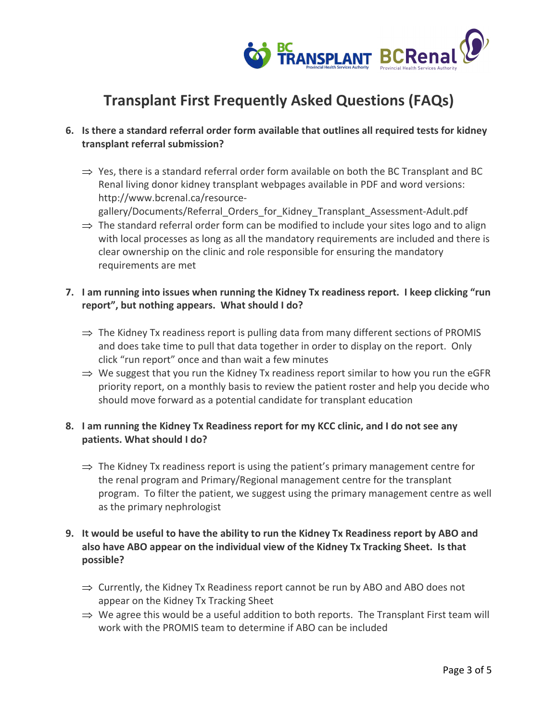

## **6. Is there a standard referral order form available that outlines all required tests for kidney transplant referral submission?**

- $\Rightarrow$  Yes, there is a standard referral order form available on both the BC Transplant and BC Renal living donor kidney transplant webpages available in PDF and word versions: http://www.bcrenal.ca/resource
	- gallery/Documents/Referral Orders for Kidney Transplant Assessment-Adult.pdf
- $\Rightarrow$  The standard referral order form can be modified to include your sites logo and to align with local processes as long as all the mandatory requirements are included and there is clear ownership on the clinic and role responsible for ensuring the mandatory requirements are met

## **7. I am running into issues when running the Kidney Tx readiness report. I keep clicking "run report", but nothing appears. What should I do?**

- $\Rightarrow$  The Kidney Tx readiness report is pulling data from many different sections of PROMIS and does take time to pull that data together in order to display on the report. Only click "run report" once and than wait a few minutes
- $\Rightarrow$  We suggest that you run the Kidney Tx readiness report similar to how you run the eGFR priority report, on a monthly basis to review the patient roster and help you decide who should move forward as a potential candidate for transplant education

## **8. I am running the Kidney Tx Readiness report for my KCC clinic, and I do not see any patients. What should I do?**

 $\Rightarrow$  The Kidney Tx readiness report is using the patient's primary management centre for the renal program and Primary/Regional management centre for the transplant program. To filter the patient, we suggest using the primary management centre as well as the primary nephrologist

## **9. It would be useful to have the ability to run the Kidney Tx Readiness report by ABO and also have ABO appear on the individual view of the Kidney Tx Tracking Sheet. Is that possible?**

- $\Rightarrow$  Currently, the Kidney Tx Readiness report cannot be run by ABO and ABO does not appear on the Kidney Tx Tracking Sheet
- $\Rightarrow$  We agree this would be a useful addition to both reports. The Transplant First team will work with the PROMIS team to determine if ABO can be included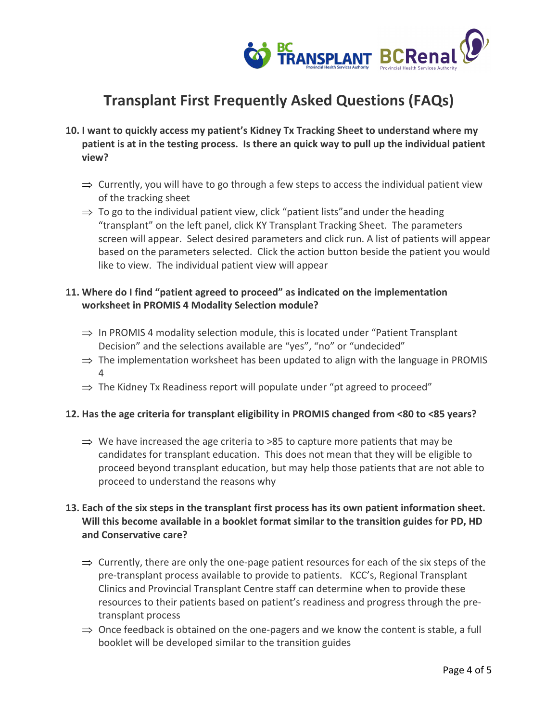

- **10. I want to quickly access my patient's Kidney Tx Tracking Sheet to understand where my patient is at in the testing process. Is there an quick way to pull up the individual patient view?**
	- $\Rightarrow$  Currently, you will have to go through a few steps to access the individual patient view of the tracking sheet
	- $\Rightarrow$  To go to the individual patient view, click "patient lists" and under the heading "transplant" on the left panel, click KY Transplant Tracking Sheet. The parameters screen will appear. Select desired parameters and click run. A list of patients will appear based on the parameters selected. Click the action button beside the patient you would like to view. The individual patient view will appear

## **11. Where do I find "patient agreed to proceed" as indicated on the implementation worksheet in PROMIS 4 Modality Selection module?**

- $\Rightarrow$  In PROMIS 4 modality selection module, this is located under "Patient Transplant" Decision" and the selections available are "yes", "no" or "undecided"
- $\Rightarrow$  The implementation worksheet has been updated to align with the language in PROMIS  $\Delta$
- $\Rightarrow$  The Kidney Tx Readiness report will populate under "pt agreed to proceed"

#### **12. Has the age criteria for transplant eligibility in PROMIS changed from <80 to <85 years?**

 $\Rightarrow$  We have increased the age criteria to >85 to capture more patients that may be candidates for transplant education. This does not mean that they will be eligible to proceed beyond transplant education, but may help those patients that are not able to proceed to understand the reasons why

## **13. Each of the six steps in the transplant first process has its own patient information sheet. Will this become available in a booklet format similar to the transition guides for PD, HD and Conservative care?**

- $\Rightarrow$  Currently, there are only the one-page patient resources for each of the six steps of the pre-transplant process available to provide to patients. KCC's, Regional Transplant Clinics and Provincial Transplant Centre staff can determine when to provide these resources to their patients based on patient's readiness and progress through the pretransplant process
- $\Rightarrow$  Once feedback is obtained on the one-pagers and we know the content is stable, a full booklet will be developed similar to the transition guides